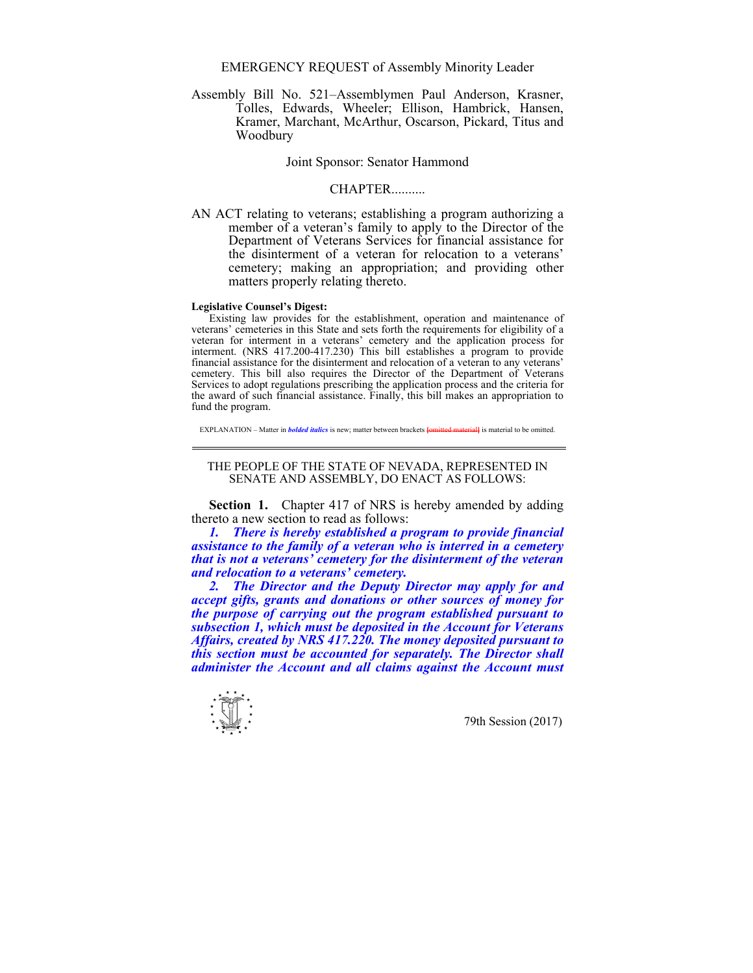EMERGENCY REQUEST of Assembly Minority Leader

Assembly Bill No. 521–Assemblymen Paul Anderson, Krasner, Tolles, Edwards, Wheeler; Ellison, Hambrick, Hansen, Kramer, Marchant, McArthur, Oscarson, Pickard, Titus and Woodbury

Joint Sponsor: Senator Hammond

## **CHAPTER**

AN ACT relating to veterans; establishing a program authorizing a member of a veteran's family to apply to the Director of the Department of Veterans Services for financial assistance for the disinterment of a veteran for relocation to a veterans' cemetery; making an appropriation; and providing other matters properly relating thereto.

## **Legislative Counsel's Digest:**

Existing law provides for the establishment, operation and maintenance of veterans' cemeteries in this State and sets forth the requirements for eligibility of a veteran for interment in a veterans' cemetery and the application process for interment. (NRS  $417.200 - 417.230$ ) This bill establishes a program to provide financial assistance for the disinterment and relocation of a veteran to any veterans' cemetery. This bill also requires the Director of the Department of Veterans Services to adopt regulations prescribing the application process and the criteria for the award of such financial assistance. Finally, this bill makes an appropriation to fund the program.

EXPLANATION – Matter in *bolded italics* is new: matter between brackets *lomitted materiall* is material to be omitted.

## THE PEOPLE OF THE STATE OF NEVADA, REPRESENTED IN SENATE AND ASSEMBLY, DO ENACT AS FOLLOWS:

**Section 1.** Chapter 417 of NRS is hereby amended by adding thereto a new section to read as follows:

*1. There is hereby established a program to provide financial assistance to the family of a veteran who is interred in a cemetery that is not a veterans' cemetery for the disinterment of the veteran and relocation to a veterans' cemetery.* 

 *2. The Director and the Deputy Director may apply for and accept gifts, grants and donations or other sources of money for the purpose of carrying out the program established pursuant to subsection 1, which must be deposited in the Account for Veterans Affairs, created by NRS 417.220. The money deposited pursuant to this section must be accounted for separately. The Director shall administer the Account and all claims against the Account must*